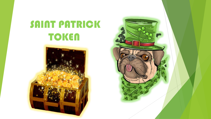# SAINT PATRICK **TOKEN**



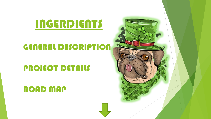# INGERDIENTS

### GENERAL DESCRIPTION

### PROJECT DETAILS

### ROAD MAP

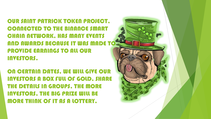OUR SAINT PATRICK TOKEN PROJECT, CONNECTED TO THE BINANCE SMART CHAIN NETWORK, HAS MANY EVENTS AND AWARDS BECAUSE IT WAS MADE TO PROVIDE EARNINGS TO ALL OUR INVESTORS.

ON CERTAIN DATES, WE WILL GIVE OUR INVESTORS A BOX FULL OF GOLD, SHARE THE DETAILS IN GROUPS, THE MORE INVESTORS, THE BIG PRIZE WILL BE **MORE THINK OF IT AS A LOTTERY.** 

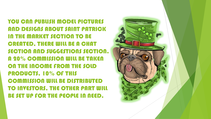YOU CAN PUBLISH MODEL PICTURES AND DESIGNS ABOUT SAINT PATRICK IN THE MARKET SECTION TO BE CREATED, THERE WILL BE A CHAT SECTION AND SUGGESTIONS SECTION. A 20% COMMISSION WILL BE TAKEN ON THE INCOME FROM THE SOLD PRODUCTS, 10% OF THIS COMMISSION WILL BE DISTRIBUTED TO INVESTORS, THE OTHER PART WILL BE SET UP FOR THE PEOPLE IN NEED.

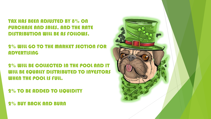TAX HAS BEEN ADJUSTED BY 8% ON PURCHASE AND SALES, AND THE RATE DISTRIBUTION WILL BE AS FOLLOWS.

2% WILL GO TO THE MARKET SECTION FOR **ADVERTISING** 

2% WILL BE COLLECTED IN THE POOL AND IT WILL BE EQUALLY DISTRIBUTED TO INVESTORS WHEN THE POOL IS FULL.

2% TO BE ADDED TO LIQUIDITY

2% BUY BACK AND BURN

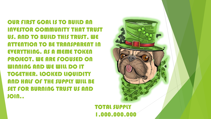OUR FIRST GOAL IS TO BUILD AN INVESTOR COMMUNITY THAT TRUST US, AND TO BUILD THIS TRUST, WE ATTENTION TO BE TRANSPARENT IN EVERYTHING. AS A MEME TOKEN PROJECT. WE ARE FOCUSED ON WINNING AND WE WILL DO IT TOGETHER. LOCKED LIQUIDITY AND HALF OF THE SUPPLY WILL BE SET FOR BURNING TRUST US AND JOIN..



#### **TOTAL SUPPLY** 1,000,000,000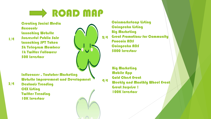## **Example MAP**

Creating Social Media **Accounts** Launching Website Sucressful Public Sale Launching SPT Token 5k Telegram Members **1k Twitter Followers** 500 Investors

Influencer , Youtuber Marketing Website Improvement and Development

Dextools Trending **CEX listing** Twitter Trending 10K Invertors



**Coinmarketcap listing Coingecko listing** Big Marketing Great Promotions for Community Poocoin ADS Coingecko ADS 5000 Invertors 2/4

> Big Marketing Mobile App Gold Chest Event Weekly and Monthly Wheel Event Great Surprise ! 100K Invertors

3/4